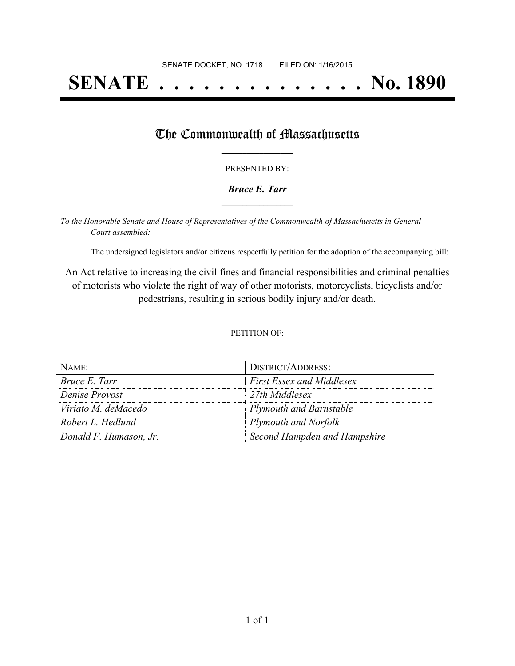# **SENATE . . . . . . . . . . . . . . No. 1890**

## The Commonwealth of Massachusetts

#### PRESENTED BY:

#### *Bruce E. Tarr* **\_\_\_\_\_\_\_\_\_\_\_\_\_\_\_\_\_**

*To the Honorable Senate and House of Representatives of the Commonwealth of Massachusetts in General Court assembled:*

The undersigned legislators and/or citizens respectfully petition for the adoption of the accompanying bill:

An Act relative to increasing the civil fines and financial responsibilities and criminal penalties of motorists who violate the right of way of other motorists, motorcyclists, bicyclists and/or pedestrians, resulting in serious bodily injury and/or death.

PETITION OF:

**\_\_\_\_\_\_\_\_\_\_\_\_\_\_\_**

| $N$ AME:               | DISTRICT/ADDRESS:                |
|------------------------|----------------------------------|
| Bruce E. Tarr          | <b>First Essex and Middlesex</b> |
| Denise Provost         | 27th Middlesex                   |
| Viriato M. deMacedo    | <b>Plymouth and Barnstable</b>   |
| Robert L. Hedlund      | <b>Plymouth and Norfolk</b>      |
| Donald F. Humason, Jr. | Second Hampden and Hampshire     |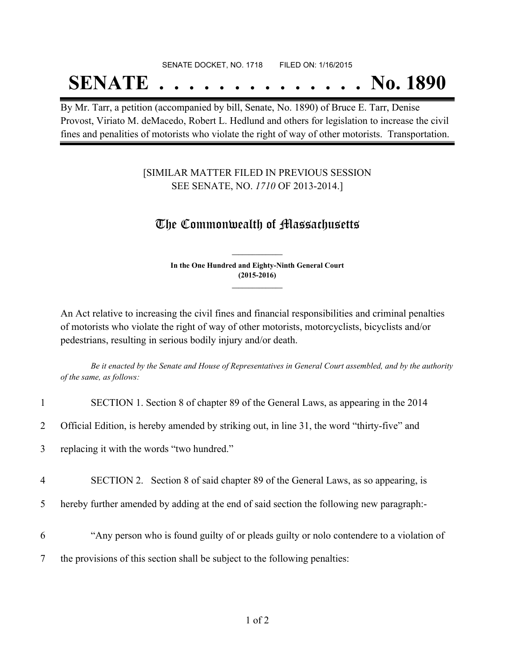#### SENATE DOCKET, NO. 1718 FILED ON: 1/16/2015

## **SENATE . . . . . . . . . . . . . . No. 1890**

By Mr. Tarr, a petition (accompanied by bill, Senate, No. 1890) of Bruce E. Tarr, Denise Provost, Viriato M. deMacedo, Robert L. Hedlund and others for legislation to increase the civil fines and penalities of motorists who violate the right of way of other motorists. Transportation.

### [SIMILAR MATTER FILED IN PREVIOUS SESSION SEE SENATE, NO. *1710* OF 2013-2014.]

### The Commonwealth of Massachusetts

**In the One Hundred and Eighty-Ninth General Court (2015-2016) \_\_\_\_\_\_\_\_\_\_\_\_\_\_\_**

**\_\_\_\_\_\_\_\_\_\_\_\_\_\_\_**

An Act relative to increasing the civil fines and financial responsibilities and criminal penalties of motorists who violate the right of way of other motorists, motorcyclists, bicyclists and/or pedestrians, resulting in serious bodily injury and/or death.

Be it enacted by the Senate and House of Representatives in General Court assembled, and by the authority *of the same, as follows:*

| $\mathbf{1}$   | SECTION 1. Section 8 of chapter 89 of the General Laws, as appearing in the 2014            |
|----------------|---------------------------------------------------------------------------------------------|
| $\overline{2}$ | Official Edition, is hereby amended by striking out, in line 31, the word "thirty-five" and |
| 3              | replacing it with the words "two hundred."                                                  |
| 4              | SECTION 2. Section 8 of said chapter 89 of the General Laws, as so appearing, is            |
| 5              | hereby further amended by adding at the end of said section the following new paragraph:-   |
| 6              | "Any person who is found guilty of or pleads guilty or nolo contendere to a violation of    |
| 7              | the provisions of this section shall be subject to the following penalties:                 |